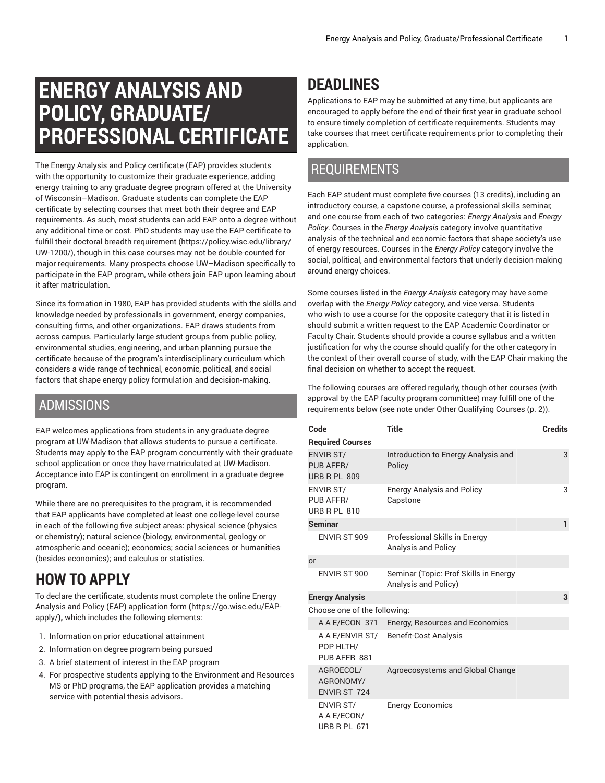# **ENERGY ANALYSIS AND POLICY, GRADUATE/ PROFESSIONAL CERTIFICATE**

The Energy Analysis and Policy certificate (EAP) provides students with the opportunity to customize their graduate experience, adding energy training to any graduate degree program offered at the University of Wisconsin–Madison. Graduate students can complete the EAP certificate by selecting courses that meet both their degree and EAP requirements. As such, most students can add EAP onto a degree without any additional time or cost. PhD students may use the EAP certificate to fulfill their doctoral breadth [requirement \(https://policy.wisc.edu/library/](https://policy.wisc.edu/library/UW-1200/) [UW-1200/\)](https://policy.wisc.edu/library/UW-1200/), though in this case courses may not be double-counted for major requirements. Many prospects choose UW–Madison specifically to participate in the EAP program, while others join EAP upon learning about it after matriculation.

Since its formation in 1980, EAP has provided students with the skills and knowledge needed by professionals in government, energy companies, consulting firms, and other organizations. EAP draws students from across campus. Particularly large student groups from public policy, environmental studies, engineering, and urban planning pursue the certificate because of the program's interdisciplinary curriculum which considers a wide range of technical, economic, political, and social factors that shape energy policy formulation and decision-making.

#### ADMISSIONS

EAP welcomes applications from students in any graduate degree program at UW-Madison that allows students to pursue a certificate. Students may apply to the EAP program concurrently with their graduate school application or once they have matriculated at UW-Madison. Acceptance into EAP is contingent on enrollment in a graduate degree program.

While there are no prerequisites to the program, it is recommended that EAP applicants have completed at least one college-level course in each of the following five subject areas: physical science (physics or chemistry); natural science (biology, environmental, geology or atmospheric and oceanic); economics; social sciences or humanities (besides economics); and calculus or statistics.

# **HOW TO APPLY**

To declare the certificate, students must complete the online [Energy](https://go.wisc.edu/EAP-apply/) Analysis and Policy (EAP) [application](https://go.wisc.edu/EAP-apply/) form **(**[https://go.wisc.edu/EAP](https://go.wisc.edu/EAP-apply/)[apply/](https://go.wisc.edu/EAP-apply/)**),** which includes the following elements:

- 1. Information on prior educational attainment
- 2. Information on degree program being pursued
- 3. A brief statement of interest in the EAP program
- 4. For prospective students applying to the Environment and Resources MS or PhD programs, the EAP application provides a matching service with potential thesis advisors.

## **DEADLINES**

Applications to EAP may be submitted at any time, but applicants are encouraged to apply before the end of their first year in graduate school to ensure timely completion of certificate requirements. Students may take courses that meet certificate requirements prior to completing their application.

#### REQUIREMENTS

Each EAP student must complete five courses (13 credits), including an introductory course, a capstone course, a professional skills seminar, and one course from each of two categories: *Energy Analysis* and *Energy Policy*. Courses in the *Energy Analysis* category involve quantitative analysis of the technical and economic factors that shape society's use of energy resources. Courses in the *Energy Policy* category involve the social, political, and environmental factors that underly decision-making around energy choices.

Some courses listed in the *Energy Analysis* category may have some overlap with the *Energy Policy* category, and vice versa. Students who wish to use a course for the opposite category that it is listed in should submit a written request to the EAP Academic Coordinator or Faculty Chair. Students should provide a course syllabus and a written justification for why the course should qualify for the other category in the context of their overall course of study, with the EAP Chair making the final decision on whether to accept the request.

The following courses are offered regularly, though other courses (with approval by the EAP faculty program committee) may fulfill one of the requirements below (see note under [Other Qualifying Courses \(p. 2](#page-1-0))).

| Code                                                   | <b>Title</b>                                                  | <b>Credits</b> |  |  |
|--------------------------------------------------------|---------------------------------------------------------------|----------------|--|--|
| <b>Required Courses</b>                                |                                                               |                |  |  |
| <b>ENVIR ST/</b><br>PUB AFFR/<br><b>URB R PL 809</b>   | Introduction to Energy Analysis and<br>Policy                 | 3              |  |  |
| <b>ENVIR ST/</b><br>PUB AFFR/<br>URB R PL 810          | <b>Energy Analysis and Policy</b><br>Capstone                 | 3              |  |  |
| <b>Seminar</b>                                         |                                                               | 1              |  |  |
| ENVIR ST 909                                           | Professional Skills in Energy<br><b>Analysis and Policy</b>   |                |  |  |
| or                                                     |                                                               |                |  |  |
| ENVIR ST 900                                           | Seminar (Topic: Prof Skills in Energy<br>Analysis and Policy) |                |  |  |
| <b>Energy Analysis</b>                                 |                                                               | 3              |  |  |
| Choose one of the following:                           |                                                               |                |  |  |
| A A E/ECON 371                                         | Energy, Resources and Economics                               |                |  |  |
| A A E/ENVIR ST/<br>POP HLTH/<br>PUB AFFR 881           | <b>Benefit-Cost Analysis</b>                                  |                |  |  |
| AGROECOL/<br>AGRONOMY/<br><b>ENVIR ST 724</b>          | Agroecosystems and Global Change                              |                |  |  |
| <b>ENVIR ST/</b><br>A A E/ECON/<br><b>URB R PL 671</b> | <b>Energy Economics</b>                                       |                |  |  |